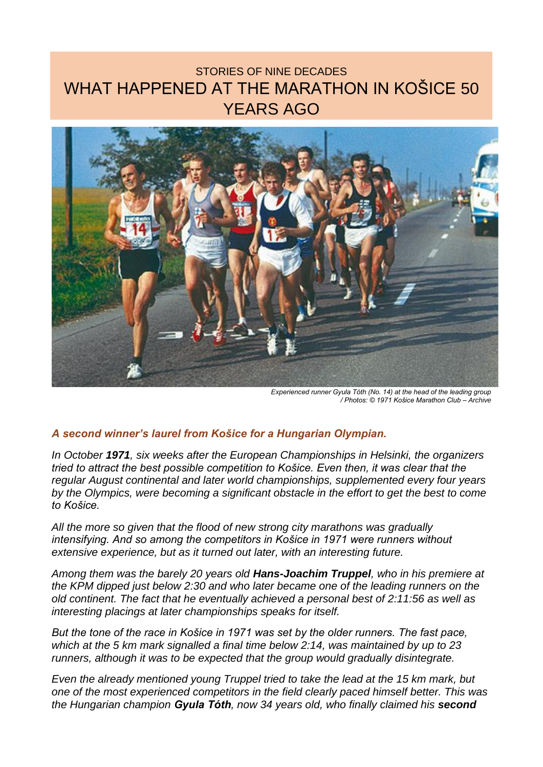## STORIES OF NINE DECADES WHAT HAPPENED AT THE MARATHON IN KOŠICE 50 YEARS AGO



*Experienced runner Gyula Tóth (No. 14) at the head of the leading group / Photos: © 1971 Košice Marathon Club – Archive*

## *A second winner's laurel from Košice for a Hungarian Olympian.*

*In October 1971, six weeks after the European Championships in Helsinki, the organizers tried to attract the best possible competition to Košice. Even then, it was clear that the regular August continental and later world championships, supplemented every four years by the Olympics, were becoming a significant obstacle in the effort to get the best to come to Košice.*

*All the more so given that the flood of new strong city marathons was gradually intensifying. And so among the competitors in Košice in 1971 were runners without extensive experience, but as it turned out later, with an interesting future.*

*Among them was the barely 20 years old Hans-Joachim Truppel, who in his premiere at the KPM dipped just below 2:30 and who later became one of the leading runners on the old continent. The fact that he eventually achieved a personal best of 2:11:56 as well as interesting placings at later championships speaks for itself.*

*But the tone of the race in Košice in 1971 was set by the older runners. The fast pace, which at the 5 km mark signalled a final time below 2:14, was maintained by up to 23 runners, although it was to be expected that the group would gradually disintegrate.*

*Even the already mentioned young Truppel tried to take the lead at the 15 km mark, but one of the most experienced competitors in the field clearly paced himself better. This was the Hungarian champion Gyula Tóth, now 34 years old, who finally claimed his second*